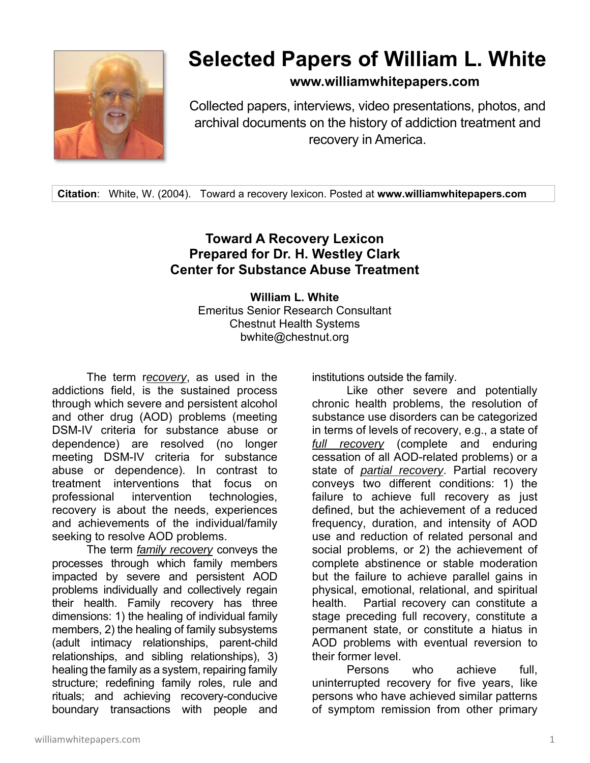

## **Selected Papers of William L. White**

**www.williamwhitepapers.com**

Collected papers, interviews, video presentations, photos, and archival documents on the history of addiction treatment and recovery in America.

**Citation**: White, W. (2004). Toward a recovery lexicon. Posted at **www.williamwhitepapers.com** 

## **Toward A Recovery Lexicon Prepared for Dr. H. Westley Clark Center for Substance Abuse Treatment**

**William L. White**  Emeritus Senior Research Consultant Chestnut Health Systems bwhite@chestnut.org

 The term r*ecovery*, as used in the addictions field, is the sustained process through which severe and persistent alcohol and other drug (AOD) problems (meeting DSM-IV criteria for substance abuse or dependence) are resolved (no longer meeting DSM-IV criteria for substance abuse or dependence). In contrast to treatment interventions that focus on professional intervention technologies, recovery is about the needs, experiences and achievements of the individual/family seeking to resolve AOD problems.

 The term *family recovery* conveys the processes through which family members impacted by severe and persistent AOD problems individually and collectively regain their health. Family recovery has three dimensions: 1) the healing of individual family members, 2) the healing of family subsystems (adult intimacy relationships, parent-child relationships, and sibling relationships), 3) healing the family as a system, repairing family structure; redefining family roles, rule and rituals; and achieving recovery-conducive boundary transactions with people and institutions outside the family.

 Like other severe and potentially chronic health problems, the resolution of substance use disorders can be categorized in terms of levels of recovery, e.g., a state of *full recovery* (complete and enduring cessation of all AOD-related problems) or a state of *partial recovery*. Partial recovery conveys two different conditions: 1) the failure to achieve full recovery as just defined, but the achievement of a reduced frequency, duration, and intensity of AOD use and reduction of related personal and social problems, or 2) the achievement of complete abstinence or stable moderation but the failure to achieve parallel gains in physical, emotional, relational, and spiritual health. Partial recovery can constitute a stage preceding full recovery, constitute a permanent state, or constitute a hiatus in AOD problems with eventual reversion to their former level.

 Persons who achieve full, uninterrupted recovery for five years, like persons who have achieved similar patterns of symptom remission from other primary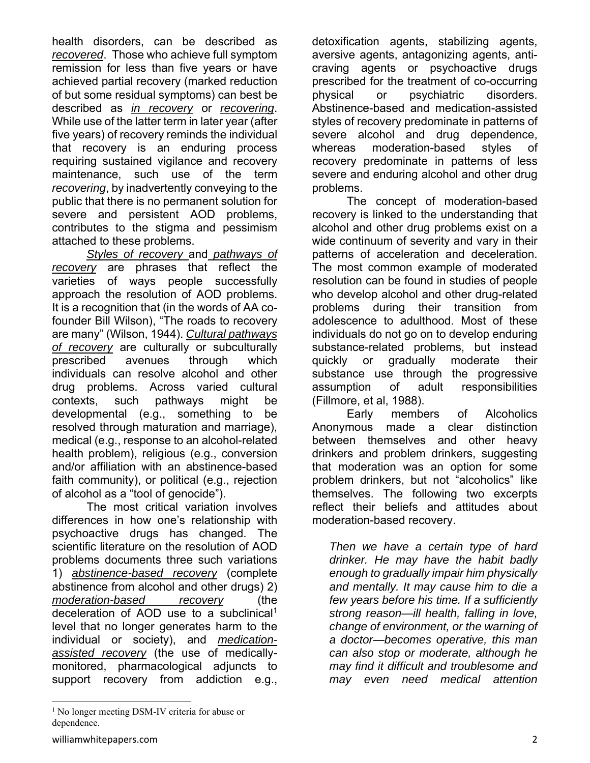health disorders, can be described as *recovered*. Those who achieve full symptom remission for less than five years or have achieved partial recovery (marked reduction of but some residual symptoms) can best be described as *in recovery* or *recovering*. While use of the latter term in later year (after five years) of recovery reminds the individual that recovery is an enduring process requiring sustained vigilance and recovery maintenance, such use of the term *recovering*, by inadvertently conveying to the public that there is no permanent solution for severe and persistent AOD problems, contributes to the stigma and pessimism attached to these problems.

*Styles of recovery* and *pathways of recovery* are phrases that reflect the varieties of ways people successfully approach the resolution of AOD problems. It is a recognition that (in the words of AA cofounder Bill Wilson), "The roads to recovery are many" (Wilson, 1944). *Cultural pathways of recovery* are culturally or subculturally prescribed avenues through which individuals can resolve alcohol and other drug problems. Across varied cultural contexts, such pathways might be developmental (e.g., something to be resolved through maturation and marriage), medical (e.g., response to an alcohol-related health problem), religious (e.g., conversion and/or affiliation with an abstinence-based faith community), or political (e.g., rejection of alcohol as a "tool of genocide").

 The most critical variation involves differences in how one's relationship with psychoactive drugs has changed. The scientific literature on the resolution of AOD problems documents three such variations 1) *abstinence-based recovery* (complete abstinence from alcohol and other drugs) 2) *moderation-based recovery* (the deceleration of AOD use to a subclinical1 level that no longer generates harm to the individual or society), and *medicationassisted recovery* (the use of medicallymonitored, pharmacological adjuncts to support recovery from addiction e.g.,

detoxification agents, stabilizing agents, aversive agents, antagonizing agents, anticraving agents or psychoactive drugs prescribed for the treatment of co-occurring physical or psychiatric disorders. Abstinence-based and medication-assisted styles of recovery predominate in patterns of severe alcohol and drug dependence, whereas moderation-based styles of recovery predominate in patterns of less severe and enduring alcohol and other drug problems.

The concept of moderation-based recovery is linked to the understanding that alcohol and other drug problems exist on a wide continuum of severity and vary in their patterns of acceleration and deceleration. The most common example of moderated resolution can be found in studies of people who develop alcohol and other drug-related problems during their transition from adolescence to adulthood. Most of these individuals do not go on to develop enduring substance-related problems, but instead quickly or gradually moderate their substance use through the progressive assumption of adult responsibilities (Fillmore, et al, 1988).

Early members of Alcoholics Anonymous made a clear distinction between themselves and other heavy drinkers and problem drinkers, suggesting that moderation was an option for some problem drinkers, but not "alcoholics" like themselves. The following two excerpts reflect their beliefs and attitudes about moderation-based recovery.

*Then we have a certain type of hard drinker. He may have the habit badly enough to gradually impair him physically and mentally. It may cause him to die a few years before his time. If a sufficiently strong reason—ill health, falling in love, change of environment, or the warning of a doctor—becomes operative, this man can also stop or moderate, although he may find it difficult and troublesome and may even need medical attention*

<sup>&</sup>lt;sup>1</sup> No longer meeting DSM-IV criteria for abuse or dependence.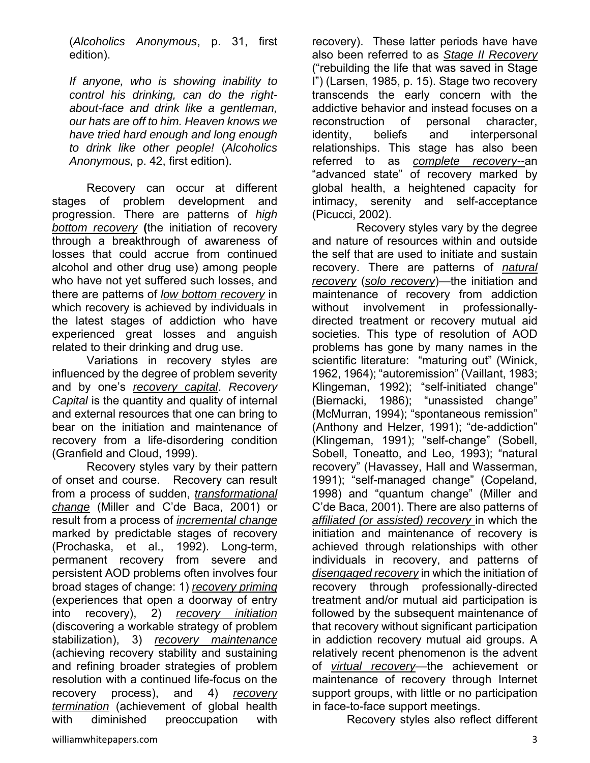(*Alcoholics Anonymous*, p. 31, first edition).

*If anyone, who is showing inability to control his drinking, can do the rightabout-face and drink like a gentleman, our hats are off to him. Heaven knows we have tried hard enough and long enough to drink like other people!* (*Alcoholics Anonymous,* p. 42, first edition).

 Recovery can occur at different stages of problem development and progression. There are patterns of *high bottom recovery* **(**the initiation of recovery through a breakthrough of awareness of losses that could accrue from continued alcohol and other drug use) among people who have not yet suffered such losses, and there are patterns of *low bottom recovery* in which recovery is achieved by individuals in the latest stages of addiction who have experienced great losses and anguish related to their drinking and drug use.

 Variations in recovery styles are influenced by the degree of problem severity and by one's *recovery capital*. *Recovery Capital* is the quantity and quality of internal and external resources that one can bring to bear on the initiation and maintenance of recovery from a life-disordering condition (Granfield and Cloud, 1999).

 Recovery styles vary by their pattern of onset and course. Recovery can result from a process of sudden, *transformational change* (Miller and C'de Baca, 2001) or result from a process of *incremental change* marked by predictable stages of recovery (Prochaska, et al., 1992). Long-term, permanent recovery from severe and persistent AOD problems often involves four broad stages of change: 1) *recovery priming* (experiences that open a doorway of entry into recovery), 2) *recovery initiation* (discovering a workable strategy of problem stabilization), 3) *recovery maintenance* (achieving recovery stability and sustaining and refining broader strategies of problem resolution with a continued life-focus on the recovery process), and 4) *recovery termination* (achievement of global health with diminished preoccupation with

recovery). These latter periods have have also been referred to as *Stage II Recovery* ("rebuilding the life that was saved in Stage I") (Larsen, 1985, p. 15). Stage two recovery transcends the early concern with the addictive behavior and instead focuses on a reconstruction of personal character, identity, beliefs and interpersonal relationships. This stage has also been referred to as *complete recovery--*an "advanced state" of recovery marked by global health, a heightened capacity for intimacy, serenity and self-acceptance (Picucci, 2002).

 Recovery styles vary by the degree and nature of resources within and outside the self that are used to initiate and sustain recovery. There are patterns of *natural recovery* (*solo recovery*)—the initiation and maintenance of recovery from addiction without involvement in professionallydirected treatment or recovery mutual aid societies. This type of resolution of AOD problems has gone by many names in the scientific literature: "maturing out" (Winick, 1962, 1964); "autoremission" (Vaillant, 1983; Klingeman, 1992); "self-initiated change" (Biernacki, 1986); "unassisted change" (McMurran, 1994); "spontaneous remission" (Anthony and Helzer, 1991); "de-addiction" (Klingeman, 1991); "self-change" (Sobell, Sobell, Toneatto, and Leo, 1993); "natural recovery" (Havassey, Hall and Wasserman, 1991); "self-managed change" (Copeland, 1998) and "quantum change" (Miller and C'de Baca, 2001). There are also patterns of *affiliated (or assisted) recovery* in which the initiation and maintenance of recovery is achieved through relationships with other individuals in recovery, and patterns of *disengaged recovery* in which the initiation of recovery through professionally-directed treatment and/or mutual aid participation is followed by the subsequent maintenance of that recovery without significant participation in addiction recovery mutual aid groups. A relatively recent phenomenon is the advent of *virtual recovery—*the achievement or maintenance of recovery through Internet support groups, with little or no participation in face-to-face support meetings.

Recovery styles also reflect different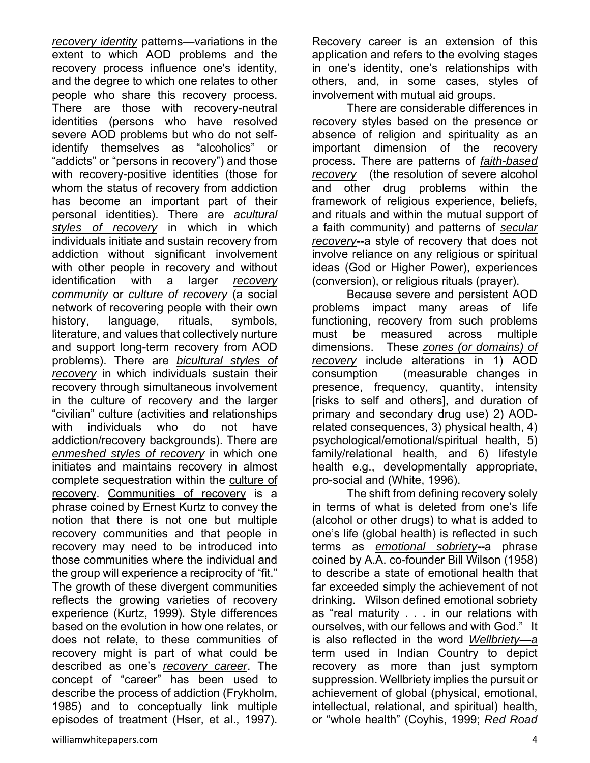*recovery identity* patterns—variations in the extent to which AOD problems and the recovery process influence one's identity, and the degree to which one relates to other people who share this recovery process. There are those with recovery-neutral identities (persons who have resolved severe AOD problems but who do not selfidentify themselves as "alcoholics" or "addicts" or "persons in recovery") and those with recovery-positive identities (those for whom the status of recovery from addiction has become an important part of their personal identities). There are *acultural styles of recovery* in which in which individuals initiate and sustain recovery from addiction without significant involvement with other people in recovery and without identification with a larger *recovery community* or *culture of recovery* (a social network of recovering people with their own history, language, rituals, symbols, literature, and values that collectively nurture and support long-term recovery from AOD problems). There are *bicultural styles of recovery* in which individuals sustain their recovery through simultaneous involvement in the culture of recovery and the larger "civilian" culture (activities and relationships with individuals who do not have addiction/recovery backgrounds). There are *enmeshed styles of recovery* in which one initiates and maintains recovery in almost complete sequestration within the culture of recovery. Communities of recovery is a phrase coined by Ernest Kurtz to convey the notion that there is not one but multiple recovery communities and that people in recovery may need to be introduced into those communities where the individual and the group will experience a reciprocity of "fit." The growth of these divergent communities reflects the growing varieties of recovery experience (Kurtz, 1999). Style differences based on the evolution in how one relates, or does not relate, to these communities of recovery might is part of what could be described as one's *recovery career*. The concept of "career" has been used to describe the process of addiction (Frykholm, 1985) and to conceptually link multiple episodes of treatment (Hser, et al., 1997).

Recovery career is an extension of this application and refers to the evolving stages in one's identity, one's relationships with others, and, in some cases, styles of involvement with mutual aid groups.

 There are considerable differences in recovery styles based on the presence or absence of religion and spirituality as an important dimension of the recovery process. There are patterns of *faith-based recovery* (the resolution of severe alcohol and other drug problems within the framework of religious experience, beliefs, and rituals and within the mutual support of a faith community) and patterns of *secular recovery***--**a style of recovery that does not involve reliance on any religious or spiritual ideas (God or Higher Power), experiences (conversion), or religious rituals (prayer).

 Because severe and persistent AOD problems impact many areas of life functioning, recovery from such problems must be measured across multiple dimensions. These *zones (or domains) of recovery* include alterations in 1) AOD consumption (measurable changes in presence, frequency, quantity, intensity [risks to self and others], and duration of primary and secondary drug use) 2) AODrelated consequences, 3) physical health, 4) psychological/emotional/spiritual health, 5) family/relational health, and 6) lifestyle health e.g., developmentally appropriate, pro-social and (White, 1996).

 The shift from defining recovery solely in terms of what is deleted from one's life (alcohol or other drugs) to what is added to one's life (global health) is reflected in such terms as *emotional sobriety***--**a phrase coined by A.A. co-founder Bill Wilson (1958) to describe a state of emotional health that far exceeded simply the achievement of not drinking. Wilson defined emotional sobriety as "real maturity . . . in our relations with ourselves, with our fellows and with God." It is also reflected in the word *Wellbriety—a*  term used in Indian Country to depict recovery as more than just symptom suppression. Wellbriety implies the pursuit or achievement of global (physical, emotional, intellectual, relational, and spiritual) health, or "whole health" (Coyhis, 1999; *Red Road*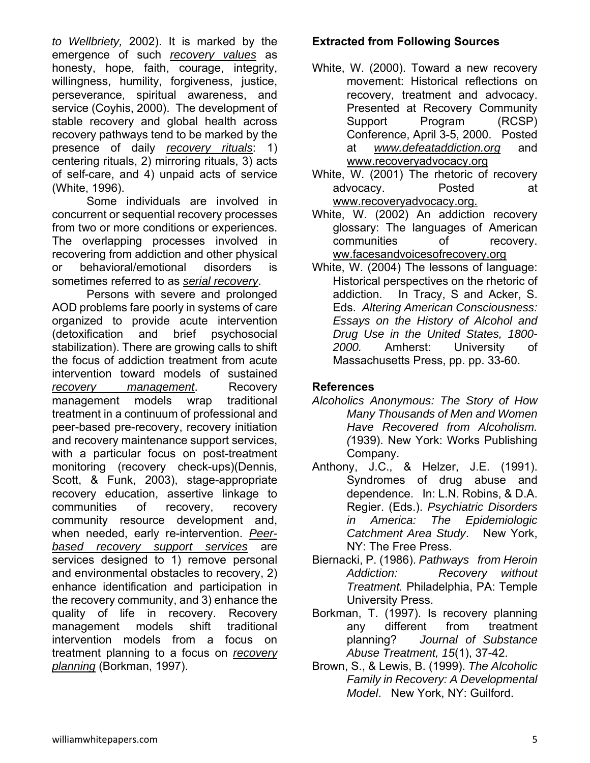*to Wellbriety,* 2002). It is marked by the emergence of such *recovery values* as honesty, hope, faith, courage, integrity, willingness, humility, forgiveness, justice, perseverance, spiritual awareness, and service (Coyhis, 2000). The development of stable recovery and global health across recovery pathways tend to be marked by the presence of daily *recovery rituals*: 1) centering rituals, 2) mirroring rituals, 3) acts of self-care, and 4) unpaid acts of service (White, 1996).

 Some individuals are involved in concurrent or sequential recovery processes from two or more conditions or experiences. The overlapping processes involved in recovering from addiction and other physical or behavioral/emotional disorders is sometimes referred to as *serial recovery*.

 Persons with severe and prolonged AOD problems fare poorly in systems of care organized to provide acute intervention (detoxification and brief psychosocial stabilization). There are growing calls to shift the focus of addiction treatment from acute intervention toward models of sustained *recovery management*. Recovery management models wrap traditional treatment in a continuum of professional and peer-based pre-recovery, recovery initiation and recovery maintenance support services, with a particular focus on post-treatment monitoring (recovery check-ups)(Dennis, Scott, & Funk, 2003), stage-appropriate recovery education, assertive linkage to communities of recovery, recovery community resource development and, when needed, early re-intervention. *Peerbased recovery support services* are services designed to 1) remove personal and environmental obstacles to recovery, 2) enhance identification and participation in the recovery community, and 3) enhance the quality of life in recovery. Recovery management models shift traditional intervention models from a focus on treatment planning to a focus on *recovery planning* (Borkman, 1997).

## **Extracted from Following Sources**

- White, W. (2000). Toward a new recovery movement: Historical reflections on recovery, treatment and advocacy. Presented at Recovery Community Support Program (RCSP) Conference, April 3-5, 2000. Posted at *www.defeataddiction.org* and www.recoveryadvocacy.org
- White, W. (2001) The rhetoric of recovery advocacy. Posted at www.recoveryadvocacy.org.
- White, W. (2002) An addiction recovery glossary: The languages of American communities of recovery. ww.facesandvoicesofrecovery.org
- White, W. (2004) The lessons of language: Historical perspectives on the rhetoric of addiction. In Tracy, S and Acker, S. Eds. *Altering American Consciousness: Essays on the History of Alcohol and Drug Use in the United States, 1800- 2000.* Amherst: University of Massachusetts Press, pp. pp. 33-60.

## **References**

- *Alcoholics Anonymous: The Story of How Many Thousands of Men and Women Have Recovered from Alcoholism. (*1939). New York: Works Publishing Company.
- Anthony, J.C., & Helzer, J.E. (1991). Syndromes of drug abuse and dependence. In: L.N. Robins, & D.A. Regier. (Eds.). *Psychiatric Disorders in America: The Epidemiologic Catchment Area Study*. New York, NY: The Free Press.
- Biernacki, P. (1986). *Pathways from Heroin Addiction: Recovery without Treatment.* Philadelphia, PA: Temple University Press.
- Borkman, T. (1997). Is recovery planning any different from treatment planning? *Journal of Substance Abuse Treatment, 15*(1), 37-42.
- Brown, S., & Lewis, B. (1999). *The Alcoholic Family in Recovery: A Developmental Model*. New York, NY: Guilford.